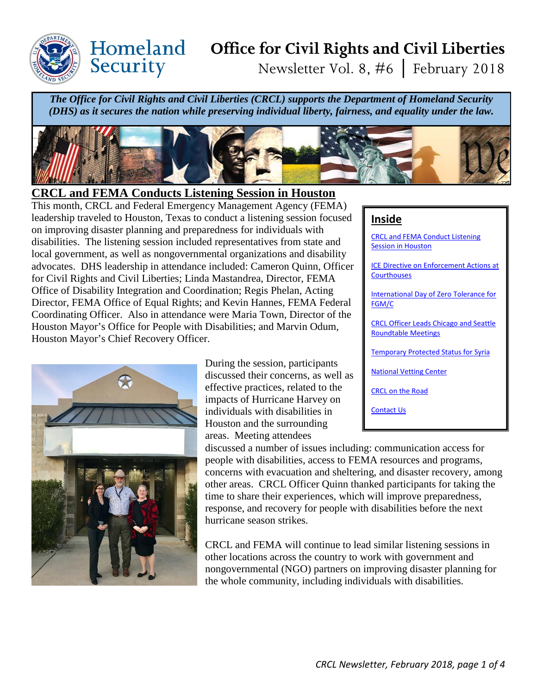

Security

# **Office for Civil Rights and Civil Liberties** Newsletter Vol. 8, #6 │ February 2018

*The Office for Civil Rights and Civil Liberties (CRCL) supports the Department of Homeland Security (DHS) as it secures the nation while preserving individual liberty, fairness, and equality under the law.*



#### **CRCL and FEMA Conducts Listening Session in Houston**

This month, CRCL and Federal Emergency Management Agency (FEMA) leadership traveled to Houston, Texas to conduct a listening session focused on improving disaster planning and preparedness for individuals with disabilities. The listening session included representatives from state and local government, as well as nongovernmental organizations and disability advocates. DHS leadership in attendance included: Cameron Quinn, Officer for Civil Rights and Civil Liberties; Linda Mastandrea, Director, FEMA Office of Disability Integration and Coordination; Regis Phelan, Acting Director, FEMA Office of Equal Rights; and Kevin Hannes, FEMA Federal Coordinating Officer. Also in attendance were Maria Town, Director of the Houston Mayor's Office for People with Disabilities; and Marvin Odum, Houston Mayor's Chief Recovery Officer.



During the session, participants discussed their concerns, as well as effective practices, related to the impacts of Hurricane Harvey on individuals with disabilities in Houston and the surrounding areas. Meeting attendees

#### discussed a number of issues including: communication access for people with disabilities, access to FEMA resources and programs, concerns with evacuation and sheltering, and disaster recovery, among other areas. CRCL Officer Quinn thanked participants for taking the time to share their experiences, which will improve preparedness, response, and recovery for people with disabilities before the next hurricane season strikes.

CRCL and FEMA will continue to lead similar listening sessions in other locations across the country to work with government and nongovernmental (NGO) partners on improving disaster planning for the whole community, including individuals with disabilities.

#### **Inside**

CRCL and FEMA Conduct Listening Session in Houston

[ICE Directive on Enforcement Actions at](#page-1-0) **Courthouses** 

[International Day of Zero Tolerance for](#page-1-0)  FGM/C

CRCL Officer Leads Chicago and Seattle [Roundtable Meetings](#page-1-0)

[Temporary Protected Status for Syria](#page-2-0)

[National Vetting Center](#page-3-0)

[CRCL on the Road](#page-3-0)

[Contact Us](#page-3-0)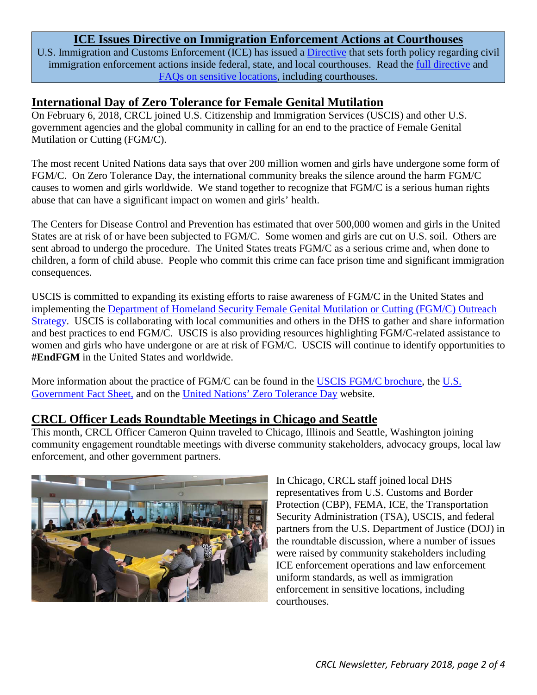### **ICE Issues Directive on Immigration Enforcement Actions at Courthouses**

<span id="page-1-0"></span>U.S. Immigration and Customs Enforcement (ICE) has issued [a Directive](https://www.ice.gov/sites/default/files/documents/Document/2018/ciEnforcementActionsCourthouses.pdf) that sets forth policy regarding civil immigration enforcement actions inside federal, state, and local courthouses. Read the [full directive](https://www.ice.gov/sites/default/files/documents/Document/2018/ciEnforcementActionsCourthouses.pdf) and [FAQs on sensitive locations](https://www.ice.gov/ero/enforcement/sensitive-loc), including courthouses.

### **International Day of Zero Tolerance for Female Genital Mutilation**

On February 6, 2018, CRCL joined U.S. Citizenship and Immigration Services (USCIS) and other U.S. government agencies and the global community in calling for an end to the practice of Female Genital Mutilation or Cutting (FGM/C).

The most recent United Nations data says that over 200 million women and girls have undergone some form of FGM/C. On Zero Tolerance Day, the international community breaks the silence around the harm FGM/C causes to women and girls worldwide. We stand together to recognize that FGM/C is a serious human rights abuse that can have a significant impact on women and girls' health.

The Centers for Disease Control and Prevention has estimated that over 500,000 women and girls in the United States are at risk of or have been subjected to FGM/C. Some women and girls are cut on U.S. soil. Others are sent abroad to undergo the procedure. The United States treats FGM/C as a serious crime and, when done to children, a form of child abuse. People who commit this crime can face prison time and significant immigration consequences.

USCIS is committed to expanding its existing efforts to raise awareness of FGM/C in the United States and implementing the [Department of Homeland Security Female Genital Mutilation or Cutting \(FGM/C\) Outreach](https://www.uscis.gov/sites/default/files/USCIS/Humanitarian/Special%20Situations/DHS_FGM_Outreach_Plan_-_Final_-_1-17-17.pdf)  [Strategy.](https://www.uscis.gov/sites/default/files/USCIS/Humanitarian/Special%20Situations/DHS_FGM_Outreach_Plan_-_Final_-_1-17-17.pdf) USCIS is collaborating with local communities and others in the DHS to gather and share information and best practices to end FGM/C. USCIS is also providing resources highlighting FGM/C-related assistance to women and girls who have undergone or are at risk of FGM/C. USCIS will continue to identify opportunities to **#EndFGM** in the United States and worldwide.

More information about the practice of FGM/C can be found in the [USCIS FGM/C brochure,](https://www.uscis.gov/sites/default/files/USCIS/Humanitarian/Special%20Situations/FGMC_Brochure_FINAL.pdf) the U.S. [Government Fact Sheet,](https://www.uscis.gov/sites/default/files/USCIS/Humanitarian/Special%20Situations/FGM_Notice_-_English.pdf) and on the [United Nations' Zero Tolerance Day](http://www.un.org/en/events/femalegenitalmutilationday/) website.

### **CRCL Officer Leads Roundtable Meetings in Chicago and Seattle**

This month, CRCL Officer Cameron Quinn traveled to Chicago, Illinois and Seattle, Washington joining community engagement roundtable meetings with diverse community stakeholders, advocacy groups, local law enforcement, and other government partners.



In Chicago, CRCL staff joined local DHS representatives from U.S. Customs and Border Protection (CBP), FEMA, ICE, the Transportation Security Administration (TSA), USCIS, and federal partners from the U.S. Department of Justice (DOJ) in the roundtable discussion, where a number of issues were raised by community stakeholders including ICE enforcement operations and law enforcement uniform standards, as well as immigration enforcement in sensitive locations, including courthouses.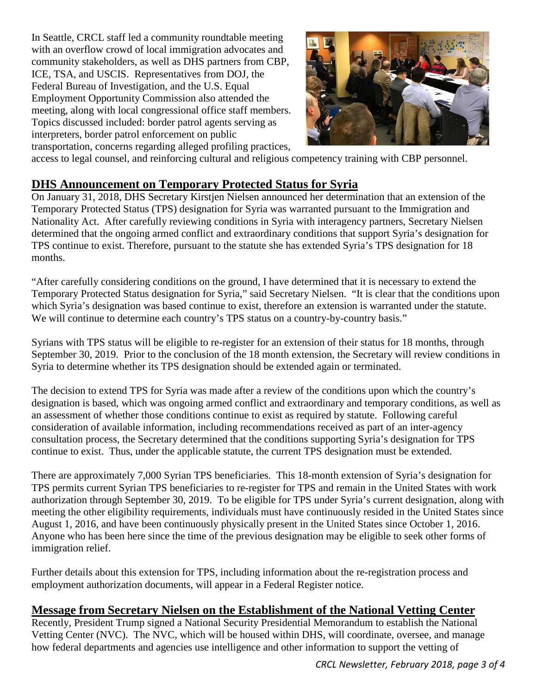<span id="page-2-0"></span>In Seattle, CRCL staff led a community roundtable meeting with an overflow crowd of local immigration advocates and community stakeholders, as well as DHS partners from CBP, ICE, TSA, and USCIS. Representatives from DOJ, the Federal Bureau of Investigation, and the U.S. Equal Employment Opportunity Commission also attended the meeting, along with local congressional office staff members. Topics discussed included: border patrol agents serving as interpreters, border patrol enforcement on public transportation, concerns regarding alleged profiling practices,



access to legal counsel, and reinforcing cultural and religious competency training with CBP personnel.

### **DHS Announcement on Temporary Protected Status for Syria**

On January 31, 2018, DHS Secretary Kirstjen Nielsen announced her determination that an extension of the Temporary Protected Status (TPS) designation for Syria was warranted pursuant to the Immigration and Nationality Act. After carefully reviewing conditions in Syria with interagency partners, Secretary Nielsen determined that the ongoing armed conflict and extraordinary conditions that support Syria's designation for TPS continue to exist. Therefore, pursuant to the statute she has extended Syria's TPS designation for 18 months.

"After carefully considering conditions on the ground, I have determined that it is necessary to extend the Temporary Protected Status designation for Syria," said Secretary Nielsen. "It is clear that the conditions upon which Syria's designation was based continue to exist, therefore an extension is warranted under the statute. We will continue to determine each country's TPS status on a country-by-country basis."

Syrians with TPS status will be eligible to re-register for an extension of their status for 18 months, through September 30, 2019. Prior to the conclusion of the 18 month extension, the Secretary will review conditions in Syria to determine whether its TPS designation should be extended again or terminated.

The decision to extend TPS for Syria was made after a review of the conditions upon which the country's designation is based, which was ongoing armed conflict and extraordinary and temporary conditions, as well as an assessment of whether those conditions continue to exist as required by statute. Following careful consideration of available information, including recommendations received as part of an inter-agency consultation process, the Secretary determined that the conditions supporting Syria's designation for TPS continue to exist. Thus, under the applicable statute, the current TPS designation must be extended.

There are approximately 7,000 Syrian TPS beneficiaries. This 18-month extension of Syria's designation for TPS permits current Syrian TPS beneficiaries to re-register for TPS and remain in the United States with work authorization through September 30, 2019. To be eligible for TPS under Syria's current designation, along with meeting the other eligibility requirements, individuals must have continuously resided in the United States since August 1, 2016, and have been continuously physically present in the United States since October 1, 2016. Anyone who has been here since the time of the previous designation may be eligible to seek other forms of immigration relief.

Further details about this extension for TPS, including information about the re-registration process and employment authorization documents, will appear in a Federal Register notice.

## **Message from Secretary Nielsen on the Establishment of the National Vetting Center**

Recently, President Trump signed a National Security Presidential Memorandum to establish the National Vetting Center (NVC). The NVC, which will be housed within DHS, will coordinate, oversee, and manage how federal departments and agencies use intelligence and other information to support the vetting of